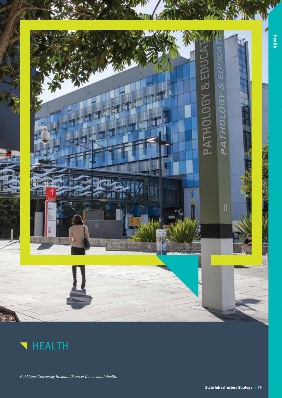



Gold Coast University Hospital (Source: Queensland Health)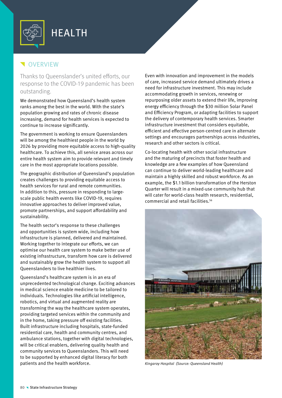

# **VERVIEW**

Thanks to Queenslander's united efforts, our response to the COVID-19 pandemic has been outstanding.

We demonstrated how Queensland's health system ranks among the best in the world. With the state's population growing and rates of chronic disease increasing, demand for health services is expected to continue to increase significantly.

The government is working to ensure Queenslanders will be among the healthiest people in the world by 2026 by providing more equitable access to high-quality healthcare. To achieve this, all service areas across our entire health system aim to provide relevant and timely care in the most appropriate locations possible.

The geographic distribution of Queensland's population creates challenges to providing equitable access to health services for rural and remote communities. In addition to this, pressure in responding to largescale public health events like COVID-19, requires innovative approaches to deliver improved value, promote partnerships, and support affordability and sustainability.

The health sector's response to these challenges and opportunities is system wide, including how infrastructure is planned, delivered and maintained. Working together to integrate our efforts, we can optimise our health care system to make better use of existing infrastructure, transform how care is delivered and sustainably grow the health system to support all Queenslanders to live healthier lives.

Queensland's healthcare system is in an era of unprecedented technological change. Exciting advances in medical science enable medicine to be tailored to individuals. Technologies like artificial intelligence, robotics, and virtual and augmented reality are transforming the way the healthcare system operates, providing targeted services within the community and in the home, taking pressure off existing facilities. Built infrastructure including hospitals, state-funded residential care, health and community centres, and ambulance stations, together with digital technologies, will be critical enablers, delivering quality health and community services to Queenslanders. This will need to be supported by enhanced digital literacy for both patients and the health workforce.

Even with innovation and improvement in the models of care, increased service demand ultimately drives a need for infrastructure investment. This may include accommodating growth in services, renewing or repurposing older assets to extend their life, improving energy efficiency through the \$30 million Solar Panel and Efficiency Program, or adapting facilities to support the delivery of contemporary health services. Smarter infrastructure investment that considers equitable, efficient and effective person-centred care in alternate settings and encourages partnerships across industries, research and other sectors is critical.

Co-locating health with other social infrastructure and the maturing of precincts that foster health and knowledge are a few examples of how Queensland can continue to deliver world-leading healthcare and maintain a highly skilled and robust workforce. As an example, the \$1.1 billion transformation of the Herston Quarter will result in a mixed-use community hub that will cater for world-class health research, residential, commercial and retail facilities.56



Kingaroy Hospital (Source: Queensland Health)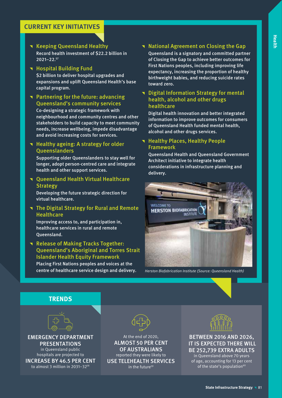**Reeping Queensland Healthy** 

Record health investment of \$22.2 billion in 2021–22.57

**The Hospital Building Fund** 

\$2 billion to deliver hospital upgrades and expansions and uplift Queensland Health's base capital program.

**T** Partnering for the future: advancing Queensland's community services

Co-designing a strategic framework with neighbourhood and community centres and other stakeholders to build capacity to meet community needs, increase wellbeing, impede disadvantage and avoid increasing costs for services.

### $\blacksquare$  Healthy ageing: A strategy for older Queenslanders

Supporting older Queenslanders to stay well for longer, adopt person-centred care and integrate health and other support services.

**T** Queensland Health Virtual Healthcare **Strategy** 

Developing the future strategic direction for virtual healthcare.

### **The Digital Strategy for Rural and Remote Healthcare**

Improving access to, and participation in, healthcare services in rural and remote Queensland.

**Release of Making Tracks Together:** Queensland's Aboriginal and Torres Strait Islander Health Equity Framework Placing First Nations peoples and voices at the centre of healthcare service design and delivery.

### **National Agreement on Closing the Gap**

Queensland is a signatory and committed partner of Closing the Gap to achieve better outcomes for First Nations peoples, including improving life expectancy, increasing the proportion of healthy birthweight babies, and reducing suicide rates toward zero.

#### **T** Digital Information Strategy for mental health, alcohol and other drugs healthcare

Digital health innovation and better integrated information to improve outcomes for consumers of Queensland Health funded mental health, alcohol and other drugs services.

#### **Thealthy Places, Healthy People** Framework

Queensland Health and Queensland Government Architect initiative to integrate health considerations in infrastructure planning and delivery.



Herston Biofabrication Institute (Source: Queensland Health)





EMERGENCY DEPARTMENT **PRESENTATIONS** in Queensland public hospitals are projected to INCREASE BY 46.5 PER CENT to almost 3 million in 2031–32<sup>58</sup>



At the end of 2020, ALMOST 50 PER CENT OF AUSTRALIANS reported they were likely to USE TELEHEALTH SERVICES in the future<sup>59</sup>



BETWEEN 2016 AND 2026, IT IS EXPECTED THERE WILL BE 252,739 EXTRA ADULTS in Queensland above 70 years of age, accounting for 13 per cent

of the state's population<sup>60</sup>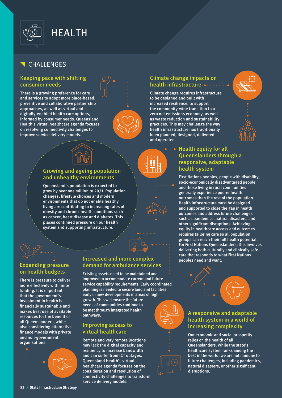

# CHALLENGES

#### Keeping pace with shifting consumer needs

There is a growing preference for care and services to adopt more place-based, preventive and collaborative partnership approaches, as well as virtual and digitally-enabled health care options, informed by consumer needs. Queensland Health's virtual healthcare agenda focuses on resolving connectivity challenges to improve service delivery models.



### Climate change impacts on health infrastructure

Climate change requires infrastructure to be designed and built with increased resilience, to support the community-wide transition to a zero net emissions economy, as well as waste reduction and sustainability practices. This may challenge the way health infrastructure has traditionally been planned, designed, delivered and operated.





### Growing and ageing population and unhealthy environments

Queensland's population is expected to grow by over one million to 2031. Population changes, lifestyle choices and modern environments that do not enable healthy living are contributing to increasing rates of obesity and chronic health conditions such as cancer, heart disease and diabetes. This places continued pressure on our health system and supporting infrastructure.



#### Health equity for all Queenslanders through a responsive, adaptable health system

First Nations peoples, people with disability, socio-economically disadvantaged people and those living in rural communities generally experience poorer health outcomes than the rest of the population. Health infrastructure must be designed and supported to close the gap in health outcomes and address future challenges such as pandemics, natural disasters, and other significant disruptions. Achieving equity in healthcare access and outcomes requires tailoring care so all population groups can reach their full health potential. For First Nations Queenslanders, this involves delivering both culturally and clinically safe care that responds to what First Nations peoples need and want.



### A responsive and adaptable health system in a world of increasing complexity

Our economic and social prosperity relies on the health of all Queenslanders. While the state's healthcare system ranks among the best in the world, we are not immune to future challenges, including pandemics, natural disasters, or other significant disruptions.



## Expanding pressure on health budgets

There is pressure to deliver more effectively with finite funding. It is important that the government's investment in health is financially sustainable and makes best use of available resources for the benefit of all Queenslanders, while also considering alternative finance models with private and non-government organisations.



#### Increased and more complex demand for ambulance services

Existing assets need to be maintained and improved to accommodate current and future service capability requirements. Early coordinated planning is needed to secure land and facilities early in new developments in areas of high growth. This will ensure the future needs of communities continue to be met through integrated health pathways.

#### Improving access to virtual healthcare

Remote and very remote locations may lack the digital capacity and resiliency to increase bandwidth and can suffer from ICT outages. Queensland Health's virtual healthcare agenda focuses on the consideration and resolution of connectivity challenges to transform service delivery models.



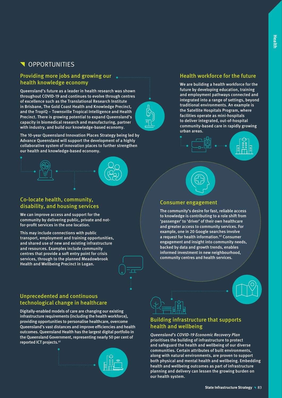# **N** OPPORTUNITIES

#### Providing more jobs and growing our health knowledge economy

Queensland's future as a leader in health research was shown throughout COVID-19 and continues to evolve through centres of excellence such as the Translational Research Institute in Brisbane, The Gold Coast Health and Knowledge Precinct, and the TropiQ – Townsville Tropical Intelligence and Health Precinct. There is growing potential to expand Queensland's capacity in biomedical research and manufacturing, partner with industry, and build our knowledge-based economy.

The 10-year Queensland Innovation Places Strategy being led by Advance Queensland will support the development of a highly collaborative system of innovation places to further strengthen our health and knowledge-based economy.

#### Co-locate health, community, disability, and housing services

We can improve access and support for the community by delivering public, private and notfor-profit services in the one location.

This may include connections with public transport, employment and training opportunities, and shared use of new and existing infrastructure and resources. Examples include community centres that provide a soft entry point for crisis services, through to the planned Meadowbrook Health and Wellbeing Precinct in Logan.

### Unprecedented and continuous technological change in healthcare

Digitally-enabled models of care are changing our existing infrastructure requirements (including the health workforce), providing opportunities to personalise healthcare, overcome Queensland's vast distances and improve efficiencies and health outcomes. Queensland Health has the largest digital portfolio in the Queensland Government, representing nearly 50 per cent of reported ICT projects.<sup>61</sup>



## Health workforce for the future

We are building a health workforce for the future by developing education, training and employment pathways connected and integrated into a range of settings, beyond traditional environments. An example is the Satellite Hospitals Program, where facilities operate as mini-hospitals to deliver integrated, out-of-hospital community-based care in rapidly growing urban areas.





#### Consumer engagement

The community's desire for fast, reliable access to knowledge is contributing to a role shift from 'passenger' to 'driver' of their own healthcare and greater access to community services. For example, one in 20 Google searches involve a request for health information.<sup>62</sup> Consumer engagement and insight into community needs, backed by data and growth trends, enables informed investment in new neighbourhood, community centres and health services.





### Building infrastructure that supports health and wellbeing

Queensland's COVID-19 Economic Recovery Plan prioritises the building of infrastructure to protect and safeguard the health and wellbeing of our diverse communities. Certain attributes of built environments, along with natural environments, are proven to support both physical and mental health and wellbeing. Embedding health and wellbeing outcomes as part of infrastructure planning and delivery can lessen the growing burden on our health system.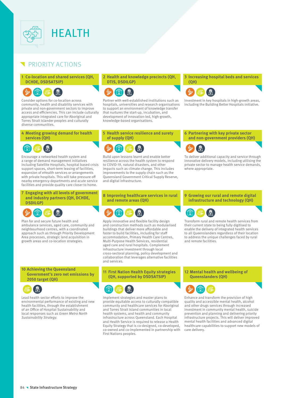

# PRIORITY ACTIONS

#### **1 Co-location and shared services (QH, DCHDE, DSDSATSIP)**



Consider options for co-location across community, health and disability services with private and non-government sectors to improve access and efficiencies. This can include culturally appropriate integrated care for Aboriginal and Torres Strait Islander peoples and culturally diverse communities.

**4 Meeting growing demand for health services (QH)**

# **PRI**

Encourage a networked health system and a range of demand management initiatives including Satellite Hospitals, hospital based crisis support spaces, short-term leasing of facilities, expansion of eHealth services or arrangements with private hospitals. This will take pressure off nearby emergency departments and acute service facilities and provide quality care closer to home.

**7 Engaging with all levels of government and industry partners (QH, DCHDE, DSDILGP)**

![](_page_5_Picture_9.jpeg)

Plan for and secure future health and ambulance services, aged care, community and neighbourhood centres, with a coordinated approach such as through Priority Development Area processes, strategic land acquisition in growth areas and co-location strategies.

**10 Achieving the Queensland Government's zero net emissions by 2050 target (QH)**

![](_page_5_Picture_12.jpeg)

Lead health sector efforts to improve the environmental performance of existing and new health facilities, through the establishment of an Office of Hospital Sustainability and local responses such as Green Metro North Sustainability Strategy.

#### **2 Health and knowledge precincts (QH, DTIS, DSDILGP)**

![](_page_5_Figure_15.jpeg)

Partner with well-established institutions such as hospitals, universities and research organisations to support an environment of knowledge transfer that nurtures the start-up, incubation, and development of innovation-led, high-growth, knowledge-based organisations.

**5 Health service resilience and surety of supply (QH)**

![](_page_5_Picture_18.jpeg)

Build upon lessons learnt and enable better resilience across the health system to respond to COVID-19, natural disasters, and other impacts such as climate change. This includes improvements to the supply chain such as the Queensland Government Critical Supply Reserve, and digital infrastructure.

**8 Improving healthcare services in rural and remote areas (QH)**

![](_page_5_Picture_21.jpeg)

Apply innovative and flexible facility design and construction methods such as modularised buildings that deliver more affordable and faster to build facilities, including for staff accommodation, Primary Health Care Centres, Multi-Purpose Health Services, residential aged care and rural hospitals. Complement infrastructure investment through local cross-sectoral planning, policy development and collaboration that leverages alternative facilities and services.

**11 First Nation Health Equity strategies (QH, supported by DSDSATSIP)**

![](_page_5_Picture_24.jpeg)

Implement strategies and master plans to provide equitable access to culturally compatible community and healthcare services for Aboriginal and Torres Strait Island communities in local health systems, and health and community infrastructure across Queensland. Each Hospital and Health Service is required to release a Health Equity Strategy that is co-designed, co-developed, co-owned and co-implemented in partnership with First Nations peoples.

**3 Increasing hospital beds and services** 

![](_page_5_Picture_27.jpeg)

**(QH)**

Investment in key hospitals in high-growth areas, including the Building Better Hospitals initiative.

**6 Partnering with key private sector and non-government providers (QH)**

![](_page_5_Picture_30.jpeg)

To deliver additional capacity and service through innovative delivery models, including utilising the private sector to manage health service demands, where appropriate.

#### **9 Growing our rural and remote digital infrastructure and technology (QH)**

![](_page_5_Picture_33.jpeg)

Transform rural and remote health services from their current state to being fully digitised to enable the delivery of integrated health services to all Queenslanders regardless of their location to address the unique challenges faced by rural and remote facilities.

**12 Mental health and wellbeing of Queenslanders (QH)**

![](_page_5_Picture_36.jpeg)

Enhance and transform the provision of high quality and accessible mental health, alcohol and other drugs services through increased investment in community mental health, suicide prevention and planning and delivering priority infrastructure projects. This will deliver improved mental health facilities and advanced digital healthcare capabilities to support new models of care delivery.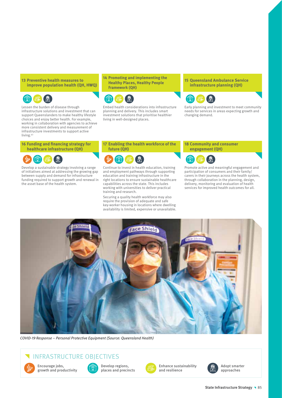#### **13 Preventive health measures to improve population health (QH, HWQ)**

![](_page_6_Picture_1.jpeg)

Lessen the burden of disease through infrastructure solutions and investment that can support Queenslanders to make healthy lifestyle choices and enjoy better health. For example, working in collaboration with agencies to achieve more consistent delivery and measurement of infrastructure investments to support active living.<sup>63</sup>

#### **16 Funding and financing strategy for healthcare infrastructure (QH)**

![](_page_6_Picture_4.jpeg)

Develop a sustainable strategy involving a range of initiatives aimed at addressing the growing gap between supply and demand for infrastructure funding required to support growth and renewal in the asset base of the health system.

#### **14 Promoting and implementing the Healthy Places, Healthy People Framework (QH)**

![](_page_6_Picture_7.jpeg)

Embed health considerations into infrastructure planning and delivery. This includes smart investment solutions that prioritise healthier living in well-designed places.

#### **15 Queensland Ambulance Service infrastructure planning (QH)**

![](_page_6_Picture_10.jpeg)

Early planning and investment to meet community needs for services in areas expecting growth and changing demand.

**17 Enabling the health workforce of the future (QH)**

![](_page_6_Picture_13.jpeg)

Continue to invest in health education, training and employment pathways through supporting education and training infrastructure in the right locations to ensure sustainable healthcare capabilities across the state. This includes working with universities to deliver practical training and research.

Securing a quality health workforce may also require the provision of adequate and safe key-worker housing in locations where dwelling availability is limited, expensive or unavailable.

#### **18 Community and consumer engagement (QH)**

![](_page_6_Picture_17.jpeg)

Promote active and meaningful engagement and participation of consumers and their family/ carers in their journeys across the health system, through collaboration in the planning, design, delivery, monitoring and evaluation of health services for improved health outcomes for all.

![](_page_6_Picture_19.jpeg)

COVID-19 Response – Personal Protective Equipment (Source: Queensland Health)

# INFRASTRUCTURE OBJECTIVES

![](_page_6_Picture_22.jpeg)

Encourage jobs, growth and productivity

![](_page_6_Picture_24.jpeg)

Develop regions, places and precincts

![](_page_6_Picture_26.jpeg)

Enhance sustainability and resilience

![](_page_6_Picture_28.jpeg)